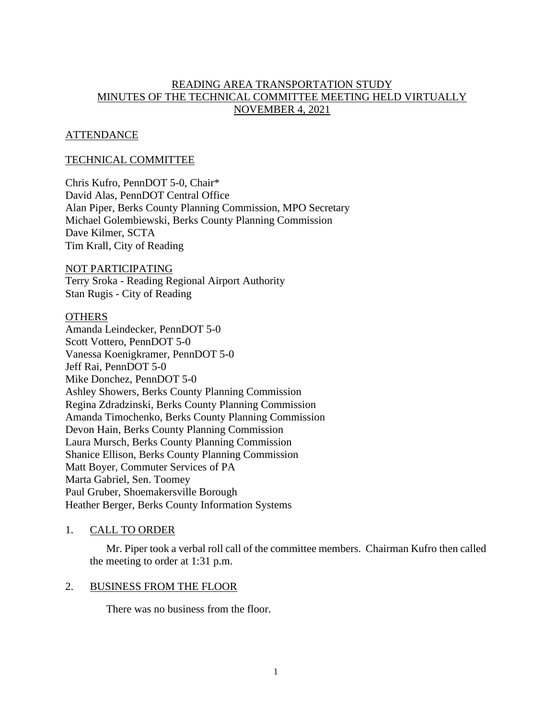# READING AREA TRANSPORTATION STUDY MINUTES OF THE TECHNICAL COMMITTEE MEETING HELD VIRTUALLY NOVEMBER 4, 2021

# **ATTENDANCE**

## TECHNICAL COMMITTEE

Chris Kufro, PennDOT 5-0, Chair\* David Alas, PennDOT Central Office Alan Piper, Berks County Planning Commission, MPO Secretary Michael Golembiewski, Berks County Planning Commission Dave Kilmer, SCTA Tim Krall, City of Reading

NOT PARTICIPATING Terry Sroka - Reading Regional Airport Authority Stan Rugis - City of Reading

#### **OTHERS**

Amanda Leindecker, PennDOT 5-0 Scott Vottero, PennDOT 5-0 Vanessa Koenigkramer, PennDOT 5-0 Jeff Rai, PennDOT 5-0 Mike Donchez, PennDOT 5-0 Ashley Showers, Berks County Planning Commission Regina Zdradzinski, Berks County Planning Commission Amanda Timochenko, Berks County Planning Commission Devon Hain, Berks County Planning Commission Laura Mursch, Berks County Planning Commission Shanice Ellison, Berks County Planning Commission Matt Boyer, Commuter Services of PA Marta Gabriel, Sen. Toomey Paul Gruber, Shoemakersville Borough Heather Berger, Berks County Information Systems

## 1. CALL TO ORDER

Mr. Piper took a verbal roll call of the committee members. Chairman Kufro then called the meeting to order at 1:31 p.m.

#### 2. BUSINESS FROM THE FLOOR

There was no business from the floor.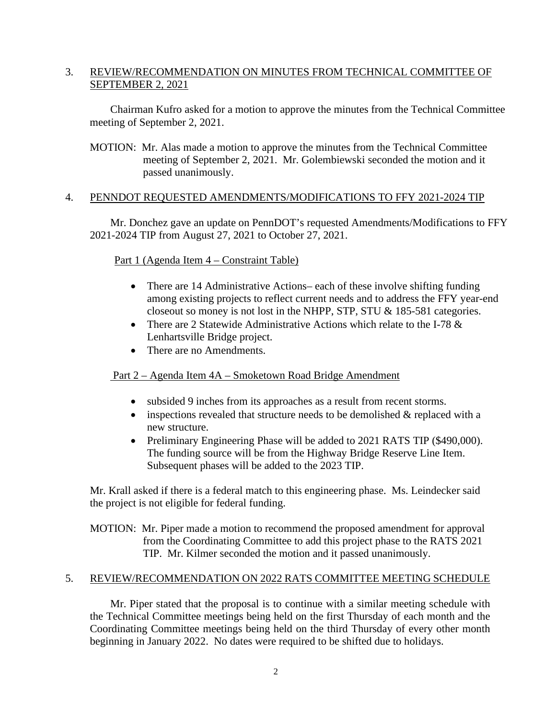# 3. REVIEW/RECOMMENDATION ON MINUTES FROM TECHNICAL COMMITTEE OF SEPTEMBER 2, 2021

Chairman Kufro asked for a motion to approve the minutes from the Technical Committee meeting of September 2, 2021.

MOTION: Mr. Alas made a motion to approve the minutes from the Technical Committee meeting of September 2, 2021. Mr. Golembiewski seconded the motion and it passed unanimously.

# 4. PENNDOT REQUESTED AMENDMENTS/MODIFICATIONS TO FFY 2021-2024 TIP

Mr. Donchez gave an update on PennDOT's requested Amendments/Modifications to FFY 2021-2024 TIP from August 27, 2021 to October 27, 2021.

# Part 1 (Agenda Item 4 – Constraint Table)

- There are 14 Administrative Actions– each of these involve shifting funding among existing projects to reflect current needs and to address the FFY year-end closeout so money is not lost in the NHPP, STP, STU & 185-581 categories.
- There are 2 Statewide Administrative Actions which relate to the I-78 & Lenhartsville Bridge project.
- There are no Amendments.

# Part 2 – Agenda Item 4A – Smoketown Road Bridge Amendment

- subsided 9 inches from its approaches as a result from recent storms.
- inspections revealed that structure needs to be demolished  $&$  replaced with a new structure.
- Preliminary Engineering Phase will be added to 2021 RATS TIP (\$490,000). The funding source will be from the Highway Bridge Reserve Line Item. Subsequent phases will be added to the 2023 TIP.

Mr. Krall asked if there is a federal match to this engineering phase. Ms. Leindecker said the project is not eligible for federal funding.

MOTION: Mr. Piper made a motion to recommend the proposed amendment for approval from the Coordinating Committee to add this project phase to the RATS 2021 TIP. Mr. Kilmer seconded the motion and it passed unanimously.

## 5. REVIEW/RECOMMENDATION ON 2022 RATS COMMITTEE MEETING SCHEDULE

Mr. Piper stated that the proposal is to continue with a similar meeting schedule with the Technical Committee meetings being held on the first Thursday of each month and the Coordinating Committee meetings being held on the third Thursday of every other month beginning in January 2022. No dates were required to be shifted due to holidays.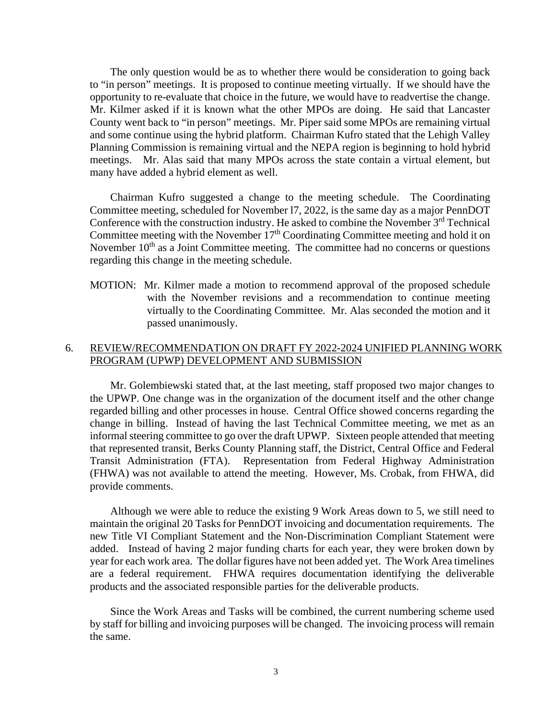The only question would be as to whether there would be consideration to going back to "in person" meetings. It is proposed to continue meeting virtually. If we should have the opportunity to re-evaluate that choice in the future, we would have to readvertise the change. Mr. Kilmer asked if it is known what the other MPOs are doing. He said that Lancaster County went back to "in person" meetings. Mr. Piper said some MPOs are remaining virtual and some continue using the hybrid platform. Chairman Kufro stated that the Lehigh Valley Planning Commission is remaining virtual and the NEPA region is beginning to hold hybrid meetings. Mr. Alas said that many MPOs across the state contain a virtual element, but many have added a hybrid element as well.

Chairman Kufro suggested a change to the meeting schedule. The Coordinating Committee meeting, scheduled for November l7, 2022, is the same day as a major PennDOT Conference with the construction industry. He asked to combine the November  $3<sup>rd</sup>$  Technical Committee meeting with the November  $17<sup>th</sup>$  Coordinating Committee meeting and hold it on November  $10<sup>th</sup>$  as a Joint Committee meeting. The committee had no concerns or questions regarding this change in the meeting schedule.

MOTION: Mr. Kilmer made a motion to recommend approval of the proposed schedule with the November revisions and a recommendation to continue meeting virtually to the Coordinating Committee. Mr. Alas seconded the motion and it passed unanimously.

## 6. REVIEW/RECOMMENDATION ON DRAFT FY 2022-2024 UNIFIED PLANNING WORK PROGRAM (UPWP) DEVELOPMENT AND SUBMISSION

Mr. Golembiewski stated that, at the last meeting, staff proposed two major changes to the UPWP. One change was in the organization of the document itself and the other change regarded billing and other processes in house. Central Office showed concerns regarding the change in billing. Instead of having the last Technical Committee meeting, we met as an informal steering committee to go over the draft UPWP. Sixteen people attended that meeting that represented transit, Berks County Planning staff, the District, Central Office and Federal Transit Administration (FTA). Representation from Federal Highway Administration (FHWA) was not available to attend the meeting. However, Ms. Crobak, from FHWA, did provide comments.

Although we were able to reduce the existing 9 Work Areas down to 5, we still need to maintain the original 20 Tasks for PennDOT invoicing and documentation requirements. The new Title VI Compliant Statement and the Non-Discrimination Compliant Statement were added. Instead of having 2 major funding charts for each year, they were broken down by year for each work area. The dollar figures have not been added yet. The Work Area timelines are a federal requirement. FHWA requires documentation identifying the deliverable products and the associated responsible parties for the deliverable products.

Since the Work Areas and Tasks will be combined, the current numbering scheme used by staff for billing and invoicing purposes will be changed. The invoicing process will remain the same.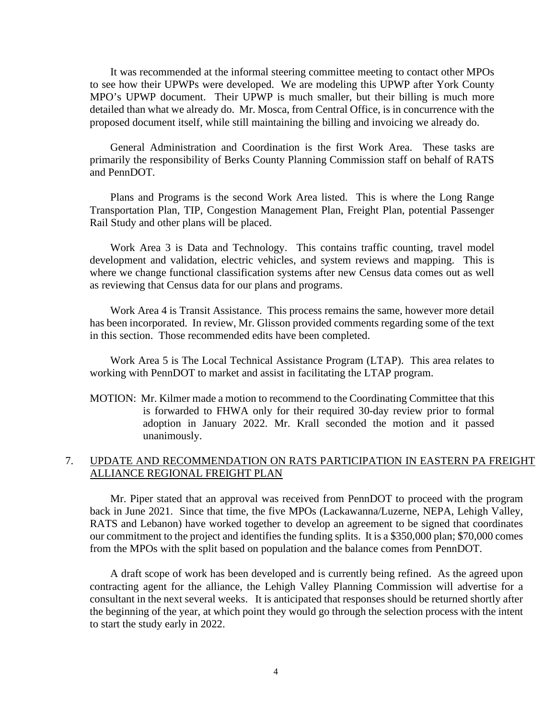It was recommended at the informal steering committee meeting to contact other MPOs to see how their UPWPs were developed. We are modeling this UPWP after York County MPO's UPWP document. Their UPWP is much smaller, but their billing is much more detailed than what we already do. Mr. Mosca, from Central Office, is in concurrence with the proposed document itself, while still maintaining the billing and invoicing we already do.

General Administration and Coordination is the first Work Area. These tasks are primarily the responsibility of Berks County Planning Commission staff on behalf of RATS and PennDOT.

Plans and Programs is the second Work Area listed. This is where the Long Range Transportation Plan, TIP, Congestion Management Plan, Freight Plan, potential Passenger Rail Study and other plans will be placed.

Work Area 3 is Data and Technology. This contains traffic counting, travel model development and validation, electric vehicles, and system reviews and mapping. This is where we change functional classification systems after new Census data comes out as well as reviewing that Census data for our plans and programs.

Work Area 4 is Transit Assistance. This process remains the same, however more detail has been incorporated. In review, Mr. Glisson provided comments regarding some of the text in this section. Those recommended edits have been completed.

Work Area 5 is The Local Technical Assistance Program (LTAP). This area relates to working with PennDOT to market and assist in facilitating the LTAP program.

MOTION: Mr. Kilmer made a motion to recommend to the Coordinating Committee that this is forwarded to FHWA only for their required 30-day review prior to formal adoption in January 2022. Mr. Krall seconded the motion and it passed unanimously.

## 7. UPDATE AND RECOMMENDATION ON RATS PARTICIPATION IN EASTERN PA FREIGHT ALLIANCE REGIONAL FREIGHT PLAN

Mr. Piper stated that an approval was received from PennDOT to proceed with the program back in June 2021. Since that time, the five MPOs (Lackawanna/Luzerne, NEPA, Lehigh Valley, RATS and Lebanon) have worked together to develop an agreement to be signed that coordinates our commitment to the project and identifies the funding splits. It is a \$350,000 plan; \$70,000 comes from the MPOs with the split based on population and the balance comes from PennDOT.

A draft scope of work has been developed and is currently being refined. As the agreed upon contracting agent for the alliance, the Lehigh Valley Planning Commission will advertise for a consultant in the next several weeks. It is anticipated that responses should be returned shortly after the beginning of the year, at which point they would go through the selection process with the intent to start the study early in 2022.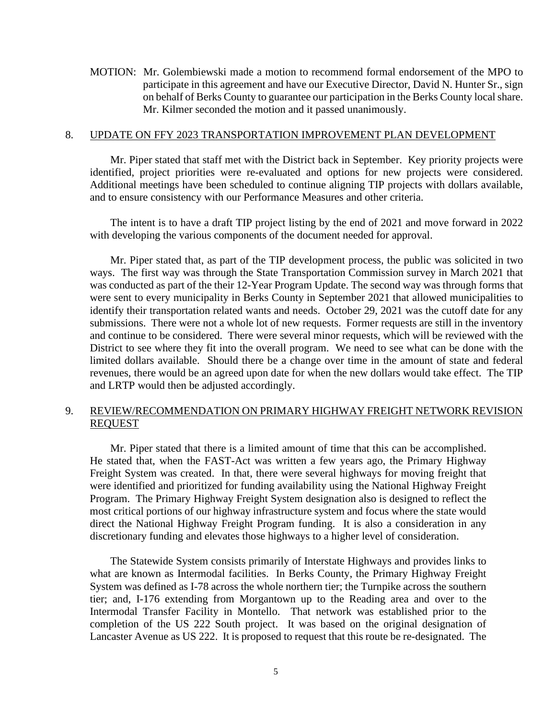MOTION: Mr. Golembiewski made a motion to recommend formal endorsement of the MPO to participate in this agreement and have our Executive Director, David N. Hunter Sr., sign on behalf of Berks County to guarantee our participation in the Berks County local share. Mr. Kilmer seconded the motion and it passed unanimously.

#### 8. UPDATE ON FFY 2023 TRANSPORTATION IMPROVEMENT PLAN DEVELOPMENT

Mr. Piper stated that staff met with the District back in September. Key priority projects were identified, project priorities were re-evaluated and options for new projects were considered. Additional meetings have been scheduled to continue aligning TIP projects with dollars available, and to ensure consistency with our Performance Measures and other criteria.

The intent is to have a draft TIP project listing by the end of 2021 and move forward in 2022 with developing the various components of the document needed for approval.

Mr. Piper stated that, as part of the TIP development process, the public was solicited in two ways. The first way was through the State Transportation Commission survey in March 2021 that was conducted as part of the their 12-Year Program Update. The second way was through forms that were sent to every municipality in Berks County in September 2021 that allowed municipalities to identify their transportation related wants and needs. October 29, 2021 was the cutoff date for any submissions. There were not a whole lot of new requests. Former requests are still in the inventory and continue to be considered. There were several minor requests, which will be reviewed with the District to see where they fit into the overall program. We need to see what can be done with the limited dollars available. Should there be a change over time in the amount of state and federal revenues, there would be an agreed upon date for when the new dollars would take effect. The TIP and LRTP would then be adjusted accordingly.

## 9. REVIEW/RECOMMENDATION ON PRIMARY HIGHWAY FREIGHT NETWORK REVISION REQUEST

Mr. Piper stated that there is a limited amount of time that this can be accomplished. He stated that, when the FAST-Act was written a few years ago, the Primary Highway Freight System was created. In that, there were several highways for moving freight that were identified and prioritized for funding availability using the National Highway Freight Program. The Primary Highway Freight System designation also is designed to reflect the most critical portions of our highway infrastructure system and focus where the state would direct the National Highway Freight Program funding. It is also a consideration in any discretionary funding and elevates those highways to a higher level of consideration.

The Statewide System consists primarily of Interstate Highways and provides links to what are known as Intermodal facilities. In Berks County, the Primary Highway Freight System was defined as I-78 across the whole northern tier; the Turnpike across the southern tier; and, I-176 extending from Morgantown up to the Reading area and over to the Intermodal Transfer Facility in Montello. That network was established prior to the completion of the US 222 South project. It was based on the original designation of Lancaster Avenue as US 222. It is proposed to request that this route be re-designated. The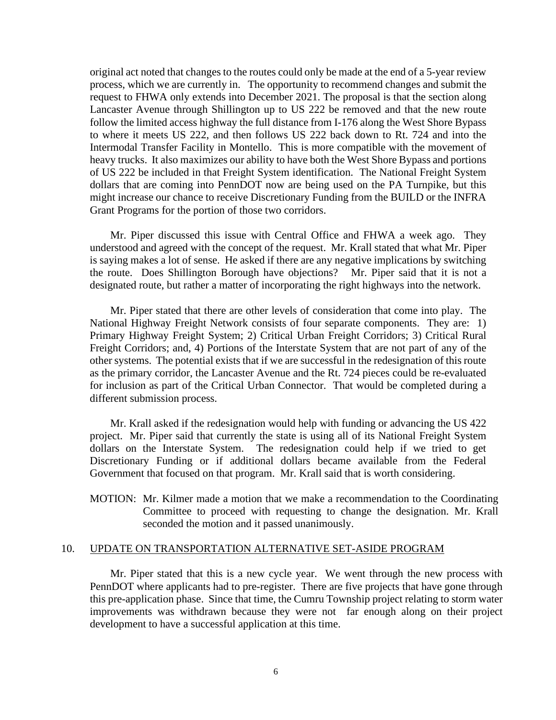original act noted that changes to the routes could only be made at the end of a 5-year review process, which we are currently in. The opportunity to recommend changes and submit the request to FHWA only extends into December 2021. The proposal is that the section along Lancaster Avenue through Shillington up to US 222 be removed and that the new route follow the limited access highway the full distance from I-176 along the West Shore Bypass to where it meets US 222, and then follows US 222 back down to Rt. 724 and into the Intermodal Transfer Facility in Montello. This is more compatible with the movement of heavy trucks. It also maximizes our ability to have both the West Shore Bypass and portions of US 222 be included in that Freight System identification. The National Freight System dollars that are coming into PennDOT now are being used on the PA Turnpike, but this might increase our chance to receive Discretionary Funding from the BUILD or the INFRA Grant Programs for the portion of those two corridors.

Mr. Piper discussed this issue with Central Office and FHWA a week ago. They understood and agreed with the concept of the request. Mr. Krall stated that what Mr. Piper is saying makes a lot of sense. He asked if there are any negative implications by switching the route. Does Shillington Borough have objections? Mr. Piper said that it is not a designated route, but rather a matter of incorporating the right highways into the network.

Mr. Piper stated that there are other levels of consideration that come into play. The National Highway Freight Network consists of four separate components. They are: 1) Primary Highway Freight System; 2) Critical Urban Freight Corridors; 3) Critical Rural Freight Corridors; and, 4) Portions of the Interstate System that are not part of any of the other systems. The potential exists that if we are successful in the redesignation of this route as the primary corridor, the Lancaster Avenue and the Rt. 724 pieces could be re-evaluated for inclusion as part of the Critical Urban Connector. That would be completed during a different submission process.

Mr. Krall asked if the redesignation would help with funding or advancing the US 422 project. Mr. Piper said that currently the state is using all of its National Freight System dollars on the Interstate System. The redesignation could help if we tried to get Discretionary Funding or if additional dollars became available from the Federal Government that focused on that program. Mr. Krall said that is worth considering.

MOTION: Mr. Kilmer made a motion that we make a recommendation to the Coordinating Committee to proceed with requesting to change the designation. Mr. Krall seconded the motion and it passed unanimously.

#### 10. UPDATE ON TRANSPORTATION ALTERNATIVE SET-ASIDE PROGRAM

Mr. Piper stated that this is a new cycle year. We went through the new process with PennDOT where applicants had to pre-register. There are five projects that have gone through this pre-application phase. Since that time, the Cumru Township project relating to storm water improvements was withdrawn because they were not far enough along on their project development to have a successful application at this time.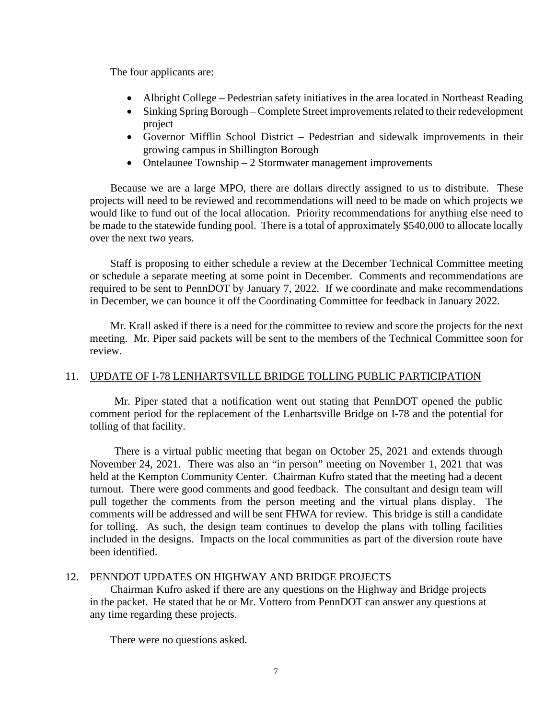The four applicants are:

- Albright College Pedestrian safety initiatives in the area located in Northeast Reading
- Sinking Spring Borough Complete Street improvements related to their redevelopment project
- Governor Mifflin School District Pedestrian and sidewalk improvements in their growing campus in Shillington Borough
- Ontelaunee Township 2 Stormwater management improvements

 Because we are a large MPO, there are dollars directly assigned to us to distribute. These projects will need to be reviewed and recommendations will need to be made on which projects we would like to fund out of the local allocation. Priority recommendations for anything else need to be made to the statewide funding pool. There is a total of approximately \$540,000 to allocate locally over the next two years.

Staff is proposing to either schedule a review at the December Technical Committee meeting or schedule a separate meeting at some point in December. Comments and recommendations are required to be sent to PennDOT by January 7, 2022. If we coordinate and make recommendations in December, we can bounce it off the Coordinating Committee for feedback in January 2022.

Mr. Krall asked if there is a need for the committee to review and score the projects for the next meeting. Mr. Piper said packets will be sent to the members of the Technical Committee soon for review.

## 11. UPDATE OF I-78 LENHARTSVILLE BRIDGE TOLLING PUBLIC PARTICIPATION

Mr. Piper stated that a notification went out stating that PennDOT opened the public comment period for the replacement of the Lenhartsville Bridge on I-78 and the potential for tolling of that facility.

There is a virtual public meeting that began on October 25, 2021 and extends through November 24, 2021. There was also an "in person" meeting on November 1, 2021 that was held at the Kempton Community Center. Chairman Kufro stated that the meeting had a decent turnout. There were good comments and good feedback. The consultant and design team will pull together the comments from the person meeting and the virtual plans display. The comments will be addressed and will be sent FHWA for review. This bridge is still a candidate for tolling. As such, the design team continues to develop the plans with tolling facilities included in the designs. Impacts on the local communities as part of the diversion route have been identified.

## 12. PENNDOT UPDATES ON HIGHWAY AND BRIDGE PROJECTS

Chairman Kufro asked if there are any questions on the Highway and Bridge projects in the packet. He stated that he or Mr. Vottero from PennDOT can answer any questions at any time regarding these projects.

There were no questions asked.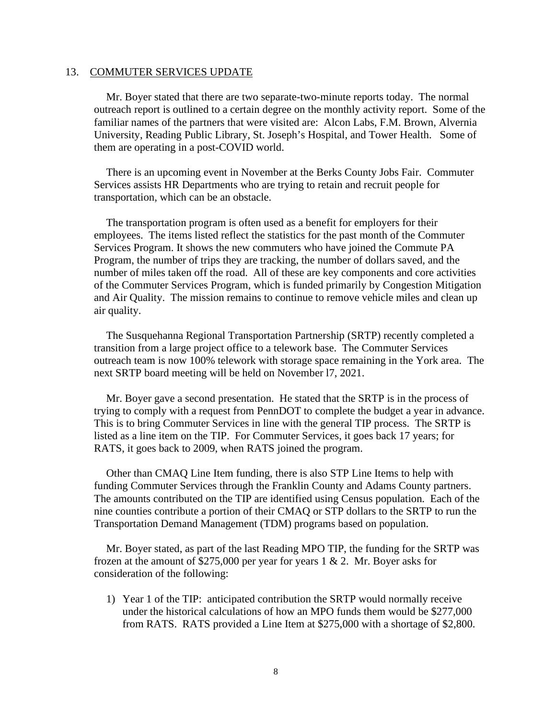#### 13. COMMUTER SERVICES UPDATE

Mr. Boyer stated that there are two separate-two-minute reports today. The normal outreach report is outlined to a certain degree on the monthly activity report. Some of the familiar names of the partners that were visited are: Alcon Labs, F.M. Brown, Alvernia University, Reading Public Library, St. Joseph's Hospital, and Tower Health. Some of them are operating in a post-COVID world.

There is an upcoming event in November at the Berks County Jobs Fair. Commuter Services assists HR Departments who are trying to retain and recruit people for transportation, which can be an obstacle.

The transportation program is often used as a benefit for employers for their employees. The items listed reflect the statistics for the past month of the Commuter Services Program. It shows the new commuters who have joined the Commute PA Program, the number of trips they are tracking, the number of dollars saved, and the number of miles taken off the road. All of these are key components and core activities of the Commuter Services Program, which is funded primarily by Congestion Mitigation and Air Quality. The mission remains to continue to remove vehicle miles and clean up air quality.

The Susquehanna Regional Transportation Partnership (SRTP) recently completed a transition from a large project office to a telework base. The Commuter Services outreach team is now 100% telework with storage space remaining in the York area. The next SRTP board meeting will be held on November l7, 2021.

Mr. Boyer gave a second presentation. He stated that the SRTP is in the process of trying to comply with a request from PennDOT to complete the budget a year in advance. This is to bring Commuter Services in line with the general TIP process. The SRTP is listed as a line item on the TIP. For Commuter Services, it goes back 17 years; for RATS, it goes back to 2009, when RATS joined the program.

Other than CMAQ Line Item funding, there is also STP Line Items to help with funding Commuter Services through the Franklin County and Adams County partners. The amounts contributed on the TIP are identified using Census population. Each of the nine counties contribute a portion of their CMAQ or STP dollars to the SRTP to run the Transportation Demand Management (TDM) programs based on population.

Mr. Boyer stated, as part of the last Reading MPO TIP, the funding for the SRTP was frozen at the amount of \$275,000 per year for years  $1 \& 2$ . Mr. Boyer asks for consideration of the following:

1) Year 1 of the TIP: anticipated contribution the SRTP would normally receive under the historical calculations of how an MPO funds them would be \$277,000 from RATS. RATS provided a Line Item at \$275,000 with a shortage of \$2,800.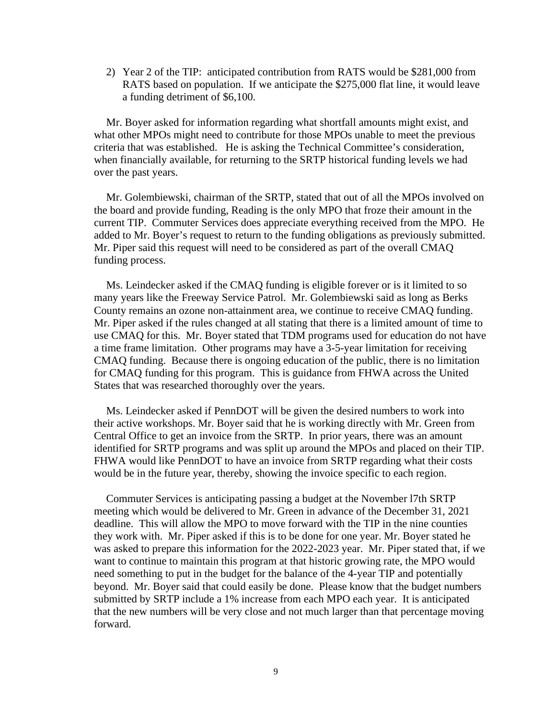2) Year 2 of the TIP: anticipated contribution from RATS would be \$281,000 from RATS based on population. If we anticipate the \$275,000 flat line, it would leave a funding detriment of \$6,100.

Mr. Boyer asked for information regarding what shortfall amounts might exist, and what other MPOs might need to contribute for those MPOs unable to meet the previous criteria that was established. He is asking the Technical Committee's consideration, when financially available, for returning to the SRTP historical funding levels we had over the past years.

Mr. Golembiewski, chairman of the SRTP, stated that out of all the MPOs involved on the board and provide funding, Reading is the only MPO that froze their amount in the current TIP. Commuter Services does appreciate everything received from the MPO. He added to Mr. Boyer's request to return to the funding obligations as previously submitted. Mr. Piper said this request will need to be considered as part of the overall CMAQ funding process.

Ms. Leindecker asked if the CMAQ funding is eligible forever or is it limited to so many years like the Freeway Service Patrol. Mr. Golembiewski said as long as Berks County remains an ozone non-attainment area, we continue to receive CMAQ funding. Mr. Piper asked if the rules changed at all stating that there is a limited amount of time to use CMAQ for this. Mr. Boyer stated that TDM programs used for education do not have a time frame limitation. Other programs may have a 3-5-year limitation for receiving CMAQ funding. Because there is ongoing education of the public, there is no limitation for CMAQ funding for this program. This is guidance from FHWA across the United States that was researched thoroughly over the years.

Ms. Leindecker asked if PennDOT will be given the desired numbers to work into their active workshops. Mr. Boyer said that he is working directly with Mr. Green from Central Office to get an invoice from the SRTP. In prior years, there was an amount identified for SRTP programs and was split up around the MPOs and placed on their TIP. FHWA would like PennDOT to have an invoice from SRTP regarding what their costs would be in the future year, thereby, showing the invoice specific to each region.

Commuter Services is anticipating passing a budget at the November l7th SRTP meeting which would be delivered to Mr. Green in advance of the December 31, 2021 deadline. This will allow the MPO to move forward with the TIP in the nine counties they work with. Mr. Piper asked if this is to be done for one year. Mr. Boyer stated he was asked to prepare this information for the 2022-2023 year. Mr. Piper stated that, if we want to continue to maintain this program at that historic growing rate, the MPO would need something to put in the budget for the balance of the 4-year TIP and potentially beyond. Mr. Boyer said that could easily be done. Please know that the budget numbers submitted by SRTP include a 1% increase from each MPO each year. It is anticipated that the new numbers will be very close and not much larger than that percentage moving forward.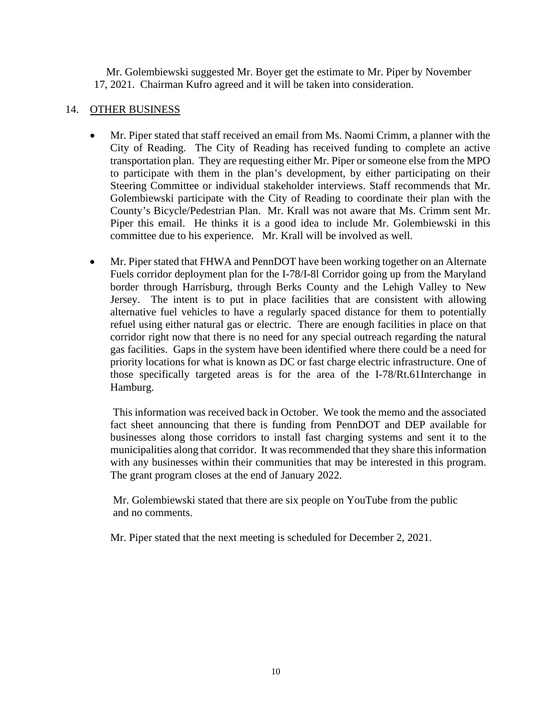Mr. Golembiewski suggested Mr. Boyer get the estimate to Mr. Piper by November 17, 2021. Chairman Kufro agreed and it will be taken into consideration.

# 14. OTHER BUSINESS

- Mr. Piper stated that staff received an email from Ms. Naomi Crimm, a planner with the City of Reading. The City of Reading has received funding to complete an active transportation plan. They are requesting either Mr. Piper or someone else from the MPO to participate with them in the plan's development, by either participating on their Steering Committee or individual stakeholder interviews. Staff recommends that Mr. Golembiewski participate with the City of Reading to coordinate their plan with the County's Bicycle/Pedestrian Plan. Mr. Krall was not aware that Ms. Crimm sent Mr. Piper this email. He thinks it is a good idea to include Mr. Golembiewski in this committee due to his experience. Mr. Krall will be involved as well.
- Mr. Piper stated that FHWA and PennDOT have been working together on an Alternate Fuels corridor deployment plan for the I-78/I-8l Corridor going up from the Maryland border through Harrisburg, through Berks County and the Lehigh Valley to New Jersey. The intent is to put in place facilities that are consistent with allowing alternative fuel vehicles to have a regularly spaced distance for them to potentially refuel using either natural gas or electric. There are enough facilities in place on that corridor right now that there is no need for any special outreach regarding the natural gas facilities. Gaps in the system have been identified where there could be a need for priority locations for what is known as DC or fast charge electric infrastructure. One of those specifically targeted areas is for the area of the I-78/Rt.61Interchange in Hamburg.

This information was received back in October. We took the memo and the associated fact sheet announcing that there is funding from PennDOT and DEP available for businesses along those corridors to install fast charging systems and sent it to the municipalities along that corridor. It was recommended that they share this information with any businesses within their communities that may be interested in this program. The grant program closes at the end of January 2022.

 Mr. Golembiewski stated that there are six people on YouTube from the public and no comments.

Mr. Piper stated that the next meeting is scheduled for December 2, 2021.